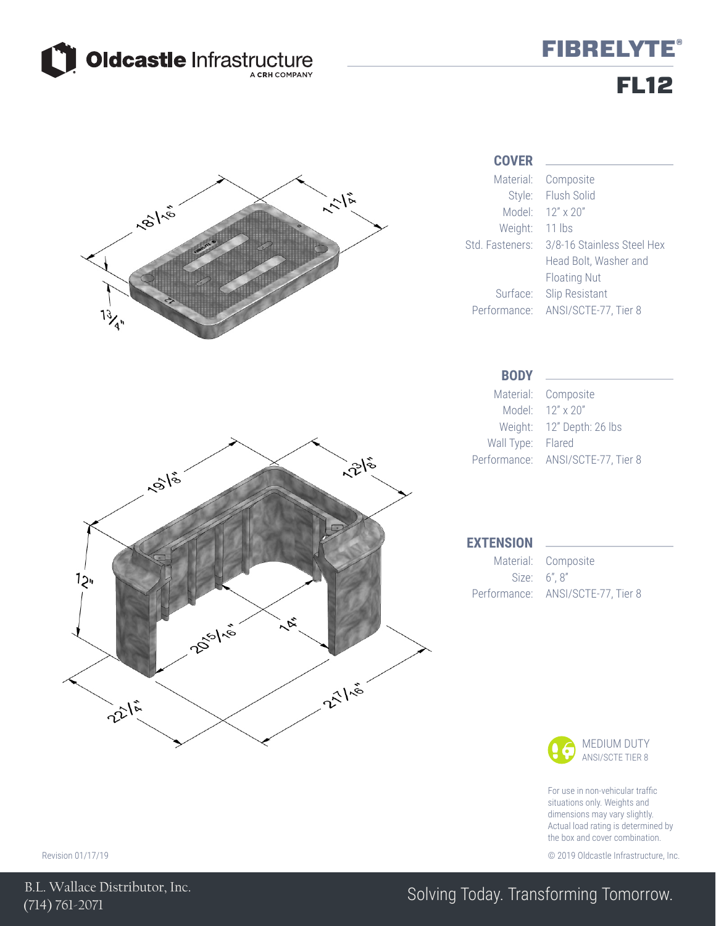

## **FIBRELYTE®** FL12



### **COVER**

Std. Fasteners: 3/8-16 Stainless Steel Hex Composite Flush Solid Head Bolt, Washer and Floating Nut

> Composite 12" Depth: 26 lbs



For use in non-vehicular traffic situations only. Weights and dimensions may vary slightly. Actual load rating is determined by the box and cover combination.

Revision 01/17/19 © 2019 Oldcastle Infrastructure, Inc.

## Solving Today. Transforming Tomorrow.